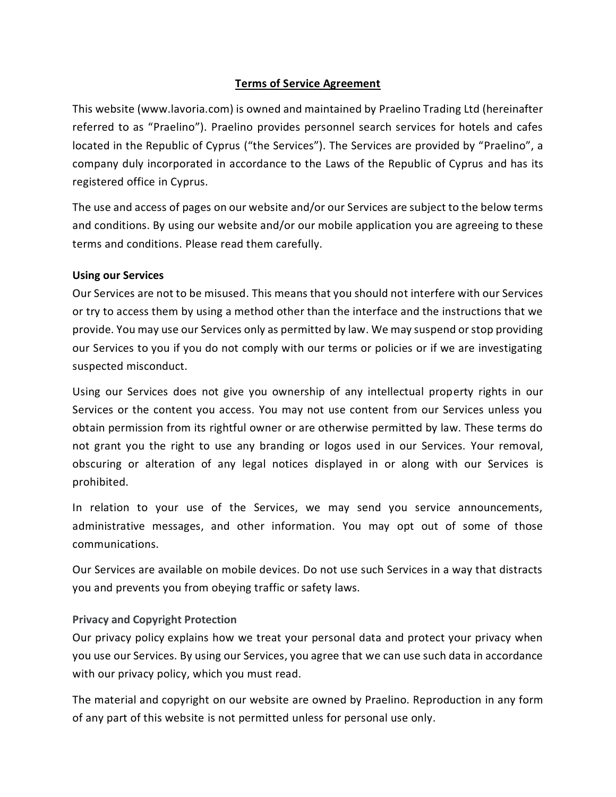# **Terms of Service Agreement**

This website (www.lavoria.com) is owned and maintained by Praelino Trading Ltd (hereinafter referred to as "Praelino"). Praelino provides personnel search services for hotels and cafes located in the Republic of Cyprus ("the Services"). The Services are provided by "Praelino", a company duly incorporated in accordance to the Laws of the Republic of Cyprus and has its registered office in Cyprus.

The use and access of pages on our website and/or our Services are subject to the below terms and conditions. By using our website and/or our mobile application you are agreeing to these terms and conditions. Please read them carefully.

### **Using our Services**

Our Services are not to be misused. This means that you should not interfere with our Services or try to access them by using a method other than the interface and the instructions that we provide. You may use our Services only as permitted by law. We may suspend or stop providing our Services to you if you do not comply with our terms or policies or if we are investigating suspected misconduct.

Using our Services does not give you ownership of any intellectual property rights in our Services or the content you access. You may not use content from our Services unless you obtain permission from its rightful owner or are otherwise permitted by law. These terms do not grant you the right to use any branding or logos used in our Services. Your removal, obscuring or alteration of any legal notices displayed in or along with our Services is prohibited.

In relation to your use of the Services, we may send you service announcements, administrative messages, and other information. You may opt out of some of those communications.

Our Services are available on mobile devices. Do not use such Services in a way that distracts you and prevents you from obeying traffic or safety laws.

### **Privacy and Copyright Protection**

Our privacy policy explains how we treat your personal data and protect your privacy when you use our Services. By using our Services, you agree that we can use such data in accordance with our privacy policy, which you must read.

The material and copyright on our website are owned by Praelino. Reproduction in any form of any part of this website is not permitted unless for personal use only.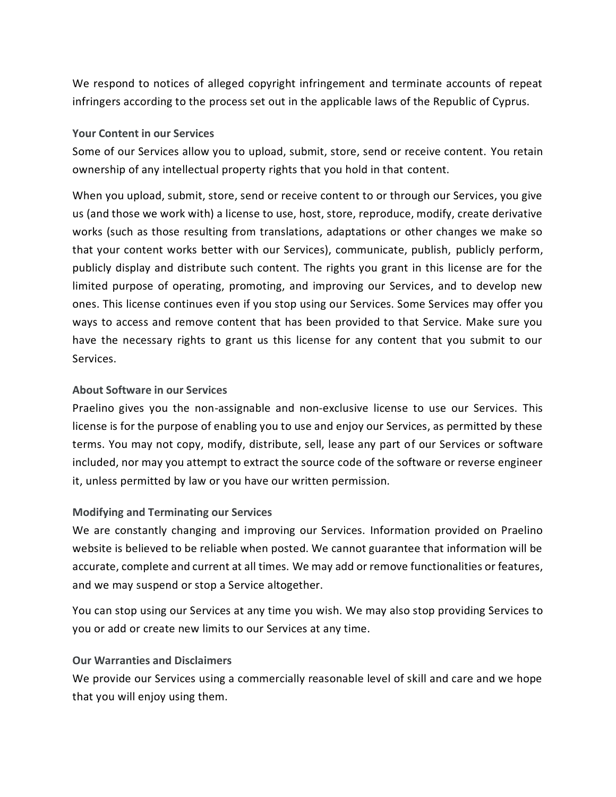We respond to notices of alleged copyright infringement and terminate accounts of repeat infringers according to the process set out in the applicable laws of the Republic of Cyprus.

### **Your Content in our Services**

Some of our Services allow you to upload, submit, store, send or receive content. You retain ownership of any intellectual property rights that you hold in that content.

When you upload, submit, store, send or receive content to or through our Services, you give us (and those we work with) a license to use, host, store, reproduce, modify, create derivative works (such as those resulting from translations, adaptations or other changes we make so that your content works better with our Services), communicate, publish, publicly perform, publicly display and distribute such content. The rights you grant in this license are for the limited purpose of operating, promoting, and improving our Services, and to develop new ones. This license continues even if you stop using our Services. Some Services may offer you ways to access and remove content that has been provided to that Service. Make sure you have the necessary rights to grant us this license for any content that you submit to our Services.

### **About Software in our Services**

Praelino gives you the non-assignable and non-exclusive license to use our Services. This license is for the purpose of enabling you to use and enjoy our Services, as permitted by these terms. You may not copy, modify, distribute, sell, lease any part of our Services or software included, nor may you attempt to extract the source code of the software or reverse engineer it, unless permitted by law or you have our written permission.

### **Modifying and Terminating our Services**

We are constantly changing and improving our Services. Information provided on Praelino website is believed to be reliable when posted. We cannot guarantee that information will be accurate, complete and current at all times. We may add or remove functionalities or features, and we may suspend or stop a Service altogether.

You can stop using our Services at any time you wish. We may also stop providing Services to you or add or create new limits to our Services at any time.

# **Our Warranties and Disclaimers**

We provide our Services using a commercially reasonable level of skill and care and we hope that you will enjoy using them.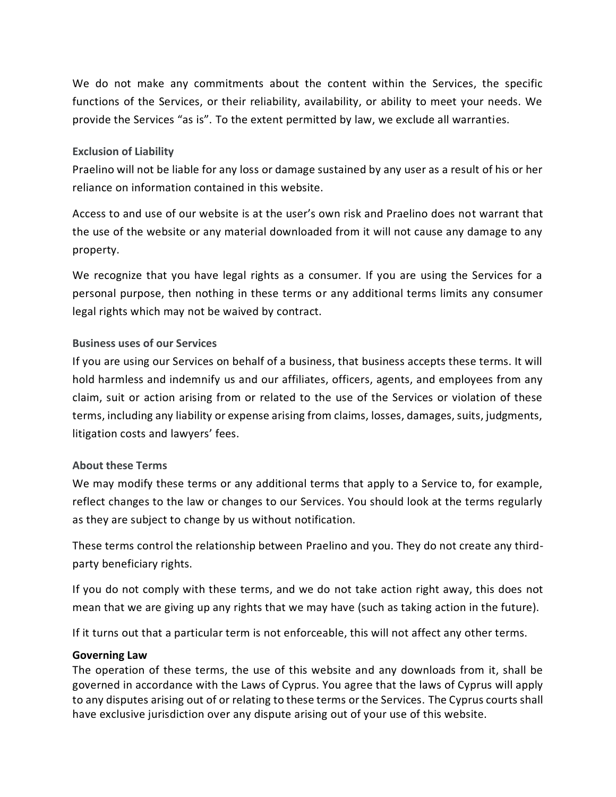We do not make any commitments about the content within the Services, the specific functions of the Services, or their reliability, availability, or ability to meet your needs. We provide the Services "as is". To the extent permitted by law, we exclude all warranties.

### **Exclusion of Liability**

Praelino will not be liable for any loss or damage sustained by any user as a result of his or her reliance on information contained in this website.

Access to and use of our website is at the user's own risk and Praelino does not warrant that the use of the website or any material downloaded from it will not cause any damage to any property.

We recognize that you have legal rights as a consumer. If you are using the Services for a personal purpose, then nothing in these terms or any additional terms limits any consumer legal rights which may not be waived by contract.

# **Business uses of our Services**

If you are using our Services on behalf of a business, that business accepts these terms. It will hold harmless and indemnify us and our affiliates, officers, agents, and employees from any claim, suit or action arising from or related to the use of the Services or violation of these terms, including any liability or expense arising from claims, losses, damages, suits, judgments, litigation costs and lawyers' fees.

### **About these Terms**

We may modify these terms or any additional terms that apply to a Service to, for example, reflect changes to the law or changes to our Services. You should look at the terms regularly as they are subject to change by us without notification.

These terms control the relationship between Praelino and you. They do not create any thirdparty beneficiary rights.

If you do not comply with these terms, and we do not take action right away, this does not mean that we are giving up any rights that we may have (such as taking action in the future).

If it turns out that a particular term is not enforceable, this will not affect any other terms.

### **Governing Law**

The operation of these terms, the use of this website and any downloads from it, shall be governed in accordance with the Laws of Cyprus. You agree that the laws of Cyprus will apply to any disputes arising out of or relating to these terms or the Services. The Cyprus courts shall have exclusive jurisdiction over any dispute arising out of your use of this website.